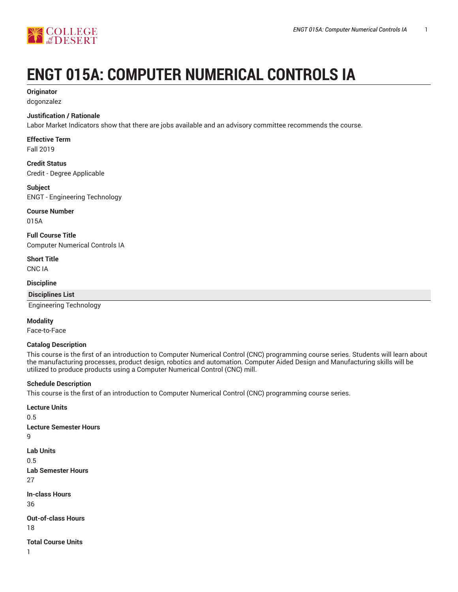

# **ENGT 015A: COMPUTER NUMERICAL CONTROLS IA**

# **Originator**

dcgonzalez

## **Justification / Rationale**

Labor Market Indicators show that there are jobs available and an advisory committee recommends the course.

# **Effective Term**

Fall 2019

**Credit Status** Credit - Degree Applicable

#### **Subject** ENGT - Engineering Technology

**Course Number**

015A

**Full Course Title** Computer Numerical Controls IA

**Short Title** CNC IA

**Discipline**

**Disciplines List**

Engineering Technology

#### **Modality**

Face-to-Face

#### **Catalog Description**

This course is the first of an introduction to Computer Numerical Control (CNC) programming course series. Students will learn about the manufacturing processes, product design, robotics and automation. Computer Aided Design and Manufacturing skills will be utilized to produce products using a Computer Numerical Control (CNC) mill.

#### **Schedule Description**

This course is the first of an introduction to Computer Numerical Control (CNC) programming course series.

**Lecture Units** 0.5 **Lecture Semester Hours** 9 **Lab Units** 0.5 **Lab Semester Hours** 27 **In-class Hours** 36 **Out-of-class Hours** 18 **Total Course Units** 1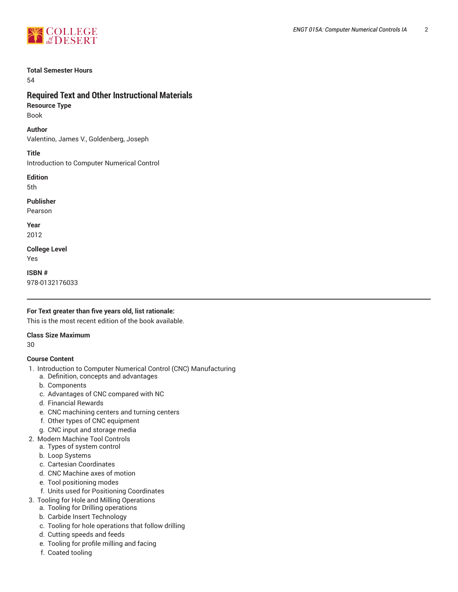

#### **Total Semester Hours**

54

# **Required Text and Other Instructional Materials**

**Resource Type** Book

# **Author**

Valentino, James V., Goldenberg, Joseph

**Title**

Introduction to Computer Numerical Control

**Edition**

5th

**Publisher**

Pearson

**Year** 2012

**College Level** Yes

**ISBN #** 978-0132176033

# **For Text greater than five years old, list rationale:**

This is the most recent edition of the book available.

# **Class Size Maximum**

30

# **Course Content**

- 1. Introduction to Computer Numerical Control (CNC) Manufacturing
	- a. Definition, concepts and advantages
	- b. Components
	- c. Advantages of CNC compared with NC
	- d. Financial Rewards
	- e. CNC machining centers and turning centers
	- f. Other types of CNC equipment
	- g. CNC input and storage media
- 2. Modern Machine Tool Controls
	- a. Types of system control
	- b. Loop Systems
	- c. Cartesian Coordinates
	- d. CNC Machine axes of motion
	- e. Tool positioning modes
	- f. Units used for Positioning Coordinates
- 3. Tooling for Hole and Milling Operations
	- a. Tooling for Drilling operations
	- b. Carbide Insert Technology
	- c. Tooling for hole operations that follow drilling
	- d. Cutting speeds and feeds
	- e. Tooling for profile milling and facing
	- f. Coated tooling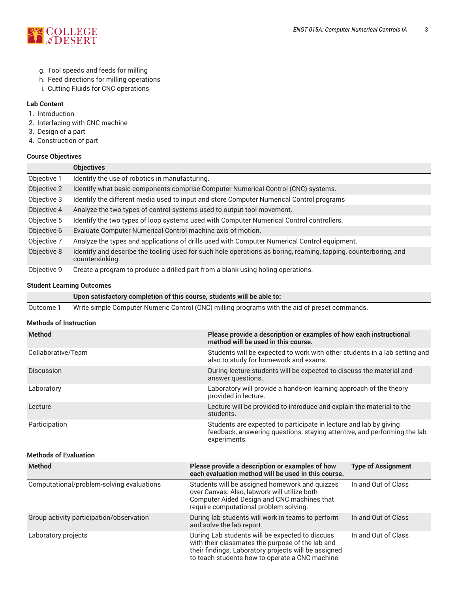

- g. Tool speeds and feeds for milling
- h. Feed directions for milling operations
- i. Cutting Fluids for CNC operations

# **Lab Content**

- 1. Introduction
- 2. Interfacing with CNC machine
- 3. Design of a part
- 4. Construction of part

#### **Course Objectives**

|             | <b>Objectives</b>                                                                                                                  |
|-------------|------------------------------------------------------------------------------------------------------------------------------------|
| Objective 1 | Identify the use of robotics in manufacturing.                                                                                     |
| Objective 2 | Identify what basic components comprise Computer Numerical Control (CNC) systems.                                                  |
| Objective 3 | Identify the different media used to input and store Computer Numerical Control programs                                           |
| Objective 4 | Analyze the two types of control systems used to output tool movement.                                                             |
| Objective 5 | Identify the two types of loop systems used with Computer Numerical Control controllers.                                           |
| Objective 6 | Evaluate Computer Numerical Control machine axis of motion.                                                                        |
| Objective 7 | Analyze the types and applications of drills used with Computer Numerical Control equipment.                                       |
| Objective 8 | Identify and describe the tooling used for such hole operations as boring, reaming, tapping, counterboring, and<br>countersinking. |
| Objective 9 | Create a program to produce a drilled part from a blank using holing operations.                                                   |

#### **Student Learning Outcomes**

|  |  | Upon satisfactory completion of this course, students will be able to: |
|--|--|------------------------------------------------------------------------|
|--|--|------------------------------------------------------------------------|

Outcome 1 Write simple Computer Numeric Control (CNC) milling programs with the aid of preset commands.

# **Methods of Instruction**

| <b>Method</b>      | Please provide a description or examples of how each instructional<br>method will be used in this course.                                                     |
|--------------------|---------------------------------------------------------------------------------------------------------------------------------------------------------------|
| Collaborative/Team | Students will be expected to work with other students in a lab setting and<br>also to study for homework and exams.                                           |
| <b>Discussion</b>  | During lecture students will be expected to discuss the material and<br>answer questions.                                                                     |
| Laboratory         | Laboratory will provide a hands-on learning approach of the theory<br>provided in lecture.                                                                    |
| Lecture            | Lecture will be provided to introduce and explain the material to the<br>students.                                                                            |
| Participation      | Students are expected to participate in lecture and lab by giving<br>feedback, answering questions, staying attentive, and performing the lab<br>experiments. |

# **Methods of Evaluation**

| <b>Method</b>                             | Please provide a description or examples of how<br>each evaluation method will be used in this course.                                                                                                         | <b>Type of Assignment</b> |
|-------------------------------------------|----------------------------------------------------------------------------------------------------------------------------------------------------------------------------------------------------------------|---------------------------|
| Computational/problem-solving evaluations | Students will be assigned homework and quizzes<br>over Canvas. Also, labwork will utilize both<br>Computer Aided Design and CNC machines that<br>require computational problem solving.                        | In and Out of Class       |
| Group activity participation/observation  | During lab students will work in teams to perform<br>and solve the lab report.                                                                                                                                 | In and Out of Class       |
| Laboratory projects                       | During Lab students will be expected to discuss<br>with their classmates the purpose of the lab and<br>their findings. Laboratory projects will be assigned<br>to teach students how to operate a CNC machine. | In and Out of Class       |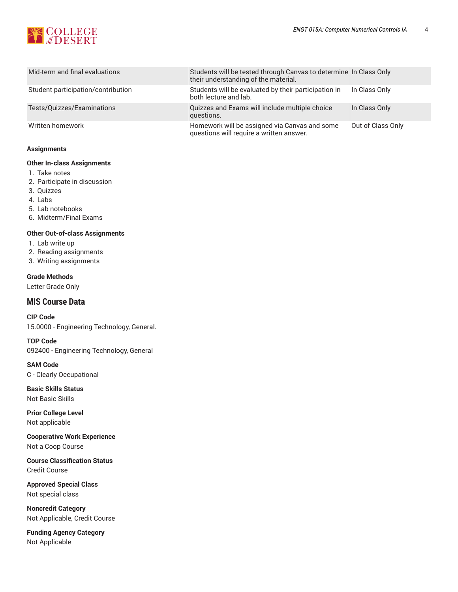

| Mid-term and final evaluations     | Students will be tested through Canvas to determine In Class Only<br>their understanding of the material. |                   |
|------------------------------------|-----------------------------------------------------------------------------------------------------------|-------------------|
| Student participation/contribution | Students will be evaluated by their participation in<br>both lecture and lab.                             | In Class Only     |
| Tests/Quizzes/Examinations         | Quizzes and Exams will include multiple choice<br>questions.                                              | In Class Only     |
| Written homework                   | Homework will be assigned via Canvas and some<br>questions will require a written answer.                 | Out of Class Only |

#### **Assignments**

#### **Other In-class Assignments**

- 1. Take notes
- 2. Participate in discussion
- 3. Quizzes
- 4. Labs
- 5. Lab notebooks
- 6. Midterm/Final Exams

#### **Other Out-of-class Assignments**

- 1. Lab write up
- 2. Reading assignments
- 3. Writing assignments

#### **Grade Methods**

Letter Grade Only

# **MIS Course Data**

#### **CIP Code**

15.0000 - Engineering Technology, General.

#### **TOP Code**

092400 - Engineering Technology, General

**SAM Code**

C - Clearly Occupational

**Basic Skills Status** Not Basic Skills

**Prior College Level** Not applicable

**Cooperative Work Experience** Not a Coop Course

**Course Classification Status** Credit Course

**Approved Special Class** Not special class

**Noncredit Category** Not Applicable, Credit Course

**Funding Agency Category** Not Applicable